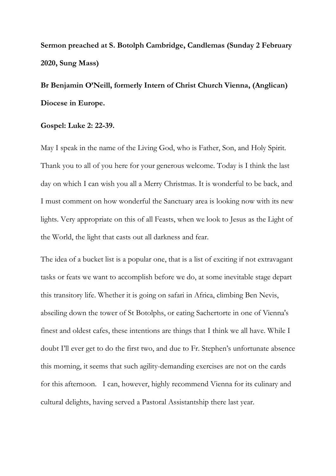**Sermon preached at S. Botolph Cambridge, Candlemas (Sunday 2 February 2020, Sung Mass)** 

## **Br Benjamin O'Neill, formerly Intern of Christ Church Vienna, (Anglican) Diocese in Europe.**

## **Gospel: Luke 2: 22-39.**

May I speak in the name of the Living God, who is Father, Son, and Holy Spirit. Thank you to all of you here for your generous welcome. Today is I think the last day on which I can wish you all a Merry Christmas. It is wonderful to be back, and I must comment on how wonderful the Sanctuary area is looking now with its new lights. Very appropriate on this of all Feasts, when we look to Jesus as the Light of the World, the light that casts out all darkness and fear.

The idea of a bucket list is a popular one, that is a list of exciting if not extravagant tasks or feats we want to accomplish before we do, at some inevitable stage depart this transitory life. Whether it is going on safari in Africa, climbing Ben Nevis, abseiling down the tower of St Botolphs, or eating Sachertorte in one of Vienna's finest and oldest cafes, these intentions are things that I think we all have. While I doubt I'll ever get to do the first two, and due to Fr. Stephen's unfortunate absence this morning, it seems that such agility-demanding exercises are not on the cards for this afternoon. I can, however, highly recommend Vienna for its culinary and cultural delights, having served a Pastoral Assistantship there last year.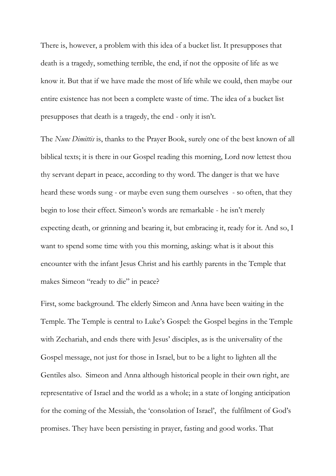There is, however, a problem with this idea of a bucket list. It presupposes that death is a tragedy, something terrible, the end, if not the opposite of life as we know it. But that if we have made the most of life while we could, then maybe our entire existence has not been a complete waste of time. The idea of a bucket list presupposes that death is a tragedy, the end - only it isn't.

The *Nunc Dimittis* is, thanks to the Prayer Book, surely one of the best known of all biblical texts; it is there in our Gospel reading this morning, Lord now lettest thou thy servant depart in peace, according to thy word. The danger is that we have heard these words sung - or maybe even sung them ourselves - so often, that they begin to lose their effect. Simeon's words are remarkable - he isn't merely expecting death, or grinning and bearing it, but embracing it, ready for it. And so, I want to spend some time with you this morning, asking: what is it about this encounter with the infant Jesus Christ and his earthly parents in the Temple that makes Simeon "ready to die" in peace?

First, some background. The elderly Simeon and Anna have been waiting in the Temple. The Temple is central to Luke's Gospel: the Gospel begins in the Temple with Zechariah, and ends there with Jesus' disciples, as is the universality of the Gospel message, not just for those in Israel, but to be a light to lighten all the Gentiles also. Simeon and Anna although historical people in their own right, are representative of Israel and the world as a whole; in a state of longing anticipation for the coming of the Messiah, the 'consolation of Israel', the fulfilment of God's promises. They have been persisting in prayer, fasting and good works. That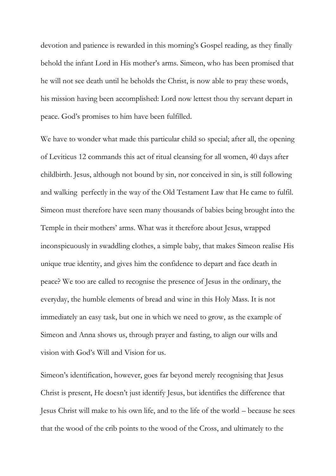devotion and patience is rewarded in this morning's Gospel reading, as they finally behold the infant Lord in His mother's arms. Simeon, who has been promised that he will not see death until he beholds the Christ, is now able to pray these words, his mission having been accomplished: Lord now lettest thou thy servant depart in peace. God's promises to him have been fulfilled.

We have to wonder what made this particular child so special; after all, the opening of Leviticus 12 commands this act of ritual cleansing for all women, 40 days after childbirth. Jesus, although not bound by sin, nor conceived in sin, is still following and walking perfectly in the way of the Old Testament Law that He came to fulfil. Simeon must therefore have seen many thousands of babies being brought into the Temple in their mothers' arms. What was it therefore about Jesus, wrapped inconspicuously in swaddling clothes, a simple baby, that makes Simeon realise His unique true identity, and gives him the confidence to depart and face death in peace? We too are called to recognise the presence of Jesus in the ordinary, the everyday, the humble elements of bread and wine in this Holy Mass. It is not immediately an easy task, but one in which we need to grow, as the example of Simeon and Anna shows us, through prayer and fasting, to align our wills and vision with God's Will and Vision for us.

Simeon's identification, however, goes far beyond merely recognising that Jesus Christ is present, He doesn't just identify Jesus, but identifies the difference that Jesus Christ will make to his own life, and to the life of the world – because he sees that the wood of the crib points to the wood of the Cross, and ultimately to the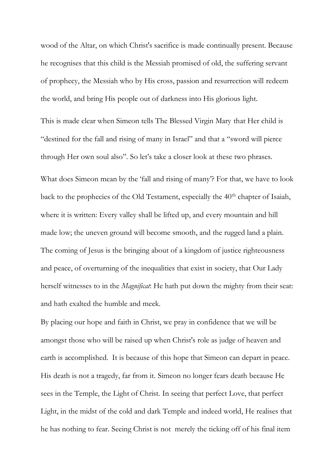wood of the Altar, on which Christ's sacrifice is made continually present. Because he recognises that this child is the Messiah promised of old, the suffering servant of prophecy, the Messiah who by His cross, passion and resurrection will redeem the world, and bring His people out of darkness into His glorious light.

This is made clear when Simeon tells The Blessed Virgin Mary that Her child is "destined for the fall and rising of many in Israel" and that a "sword will pierce through Her own soul also". So let's take a closer look at these two phrases.

What does Simeon mean by the 'fall and rising of many'? For that, we have to look back to the prophecies of the Old Testament, especially the 40<sup>th</sup> chapter of Isaiah, where it is written: Every valley shall be lifted up, and every mountain and hill made low; the uneven ground will become smooth, and the rugged land a plain. The coming of Jesus is the bringing about of a kingdom of justice righteousness and peace, of overturning of the inequalities that exist in society, that Our Lady herself witnesses to in the *Magnificat*: He hath put down the mighty from their seat: and hath exalted the humble and meek.

By placing our hope and faith in Christ, we pray in confidence that we will be amongst those who will be raised up when Christ's role as judge of heaven and earth is accomplished. It is because of this hope that Simeon can depart in peace. His death is not a tragedy, far from it. Simeon no longer fears death because He sees in the Temple, the Light of Christ. In seeing that perfect Love, that perfect Light, in the midst of the cold and dark Temple and indeed world, He realises that he has nothing to fear. Seeing Christ is not merely the ticking off of his final item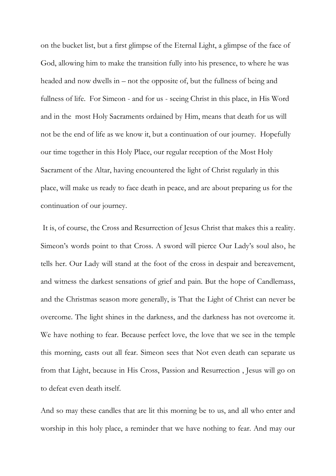on the bucket list, but a first glimpse of the Eternal Light, a glimpse of the face of God, allowing him to make the transition fully into his presence, to where he was headed and now dwells in – not the opposite of, but the fullness of being and fullness of life. For Simeon - and for us - seeing Christ in this place, in His Word and in the most Holy Sacraments ordained by Him, means that death for us will not be the end of life as we know it, but a continuation of our journey. Hopefully our time together in this Holy Place, our regular reception of the Most Holy Sacrament of the Altar, having encountered the light of Christ regularly in this place, will make us ready to face death in peace, and are about preparing us for the continuation of our journey.

It is, of course, the Cross and Resurrection of Jesus Christ that makes this a reality. Simeon's words point to that Cross. A sword will pierce Our Lady's soul also, he tells her. Our Lady will stand at the foot of the cross in despair and bereavement, and witness the darkest sensations of grief and pain. But the hope of Candlemass, and the Christmas season more generally, is That the Light of Christ can never be overcome. The light shines in the darkness, and the darkness has not overcome it. We have nothing to fear. Because perfect love, the love that we see in the temple this morning, casts out all fear. Simeon sees that Not even death can separate us from that Light, because in His Cross, Passion and Resurrection , Jesus will go on to defeat even death itself.

And so may these candles that are lit this morning be to us, and all who enter and worship in this holy place, a reminder that we have nothing to fear. And may our